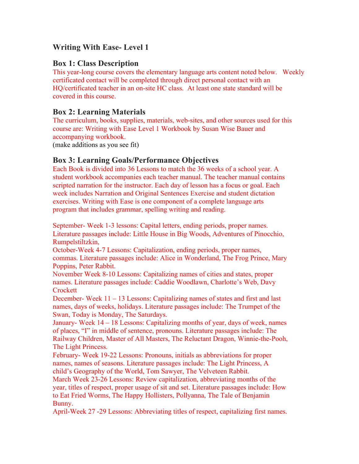# **Writing With Ease- Level 1**

#### **Box 1: Class Description**

This year-long course covers the elementary language arts content noted below. Weekly certificated contact will be completed through direct personal contact with an HQ/certificated teacher in an on-site HC class. At least one state standard will be covered in this course.

### **Box 2: Learning Materials**

The curriculum, books, supplies, materials, web-sites, and other sources used for this course are: Writing with Ease Level 1 Workbook by Susan Wise Bauer and accompanying workbook.

(make additions as you see fit)

### **Box 3: Learning Goals/Performance Objectives**

Each Book is divided into 36 Lessons to match the 36 weeks of a school year. A student workbook accompanies each teacher manual. The teacher manual contains scripted narration for the instructor. Each day of lesson has a focus or goal. Each week includes Narration and Original Sentences Exercise and student dictation exercises. Writing with Ease is one component of a complete language arts program that includes grammar, spelling writing and reading.

September- Week 1-3 lessons: Capital letters, ending periods, proper names. Literature passages include: Little House in Big Woods, Adventures of Pinocchio, Rumpelstiltzkin,

October-Week 4-7 Lessons: Capitalization, ending periods, proper names, commas. Literature passages include: Alice in Wonderland, The Frog Prince, Mary Poppins, Peter Rabbit.

November Week 8-10 Lessons: Capitalizing names of cities and states, proper names. Literature passages include: Caddie Woodlawn, Charlotte's Web, Davy **Crockett** 

December- Week 11 – 13 Lessons: Capitalizing names of states and first and last names, days of weeks, holidays. Literature passages include: The Trumpet of the Swan, Today is Monday, The Saturdays.

January- Week 14 – 18 Lessons: Capitalizing months of year, days of week, names of places, "I" in middle of sentence, pronouns. Literature passages include: The Railway Children, Master of All Masters, The Reluctant Dragon, Winnie-the-Pooh, The Light Princess.

February- Week 19-22 Lessons: Pronouns, initials as abbreviations for proper names, names of seasons. Literature passages include: The Light Princess, A child's Geography of the World, Tom Sawyer, The Velveteen Rabbit.

March Week 23-26 Lessons: Review capitalization, abbreviating months of the year, titles of respect, proper usage of sit and set. Literature passages include: How to Eat Fried Worms, The Happy Hollisters, Pollyanna, The Tale of Benjamin Bunny.

April-Week 27 -29 Lessons: Abbreviating titles of respect, capitalizing first names.